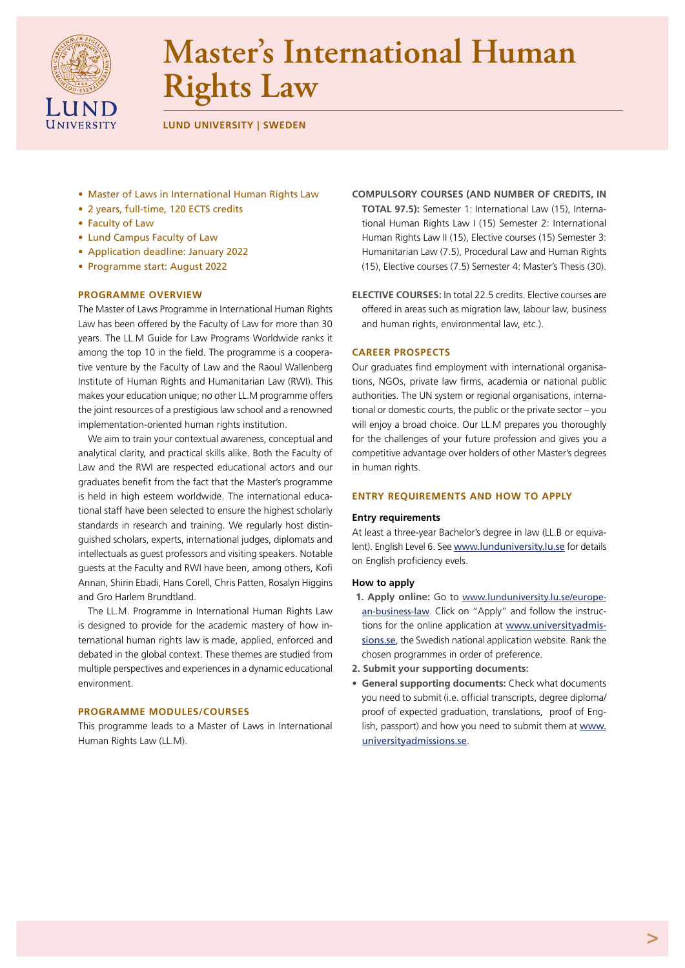

# **Master's International Human Rights Law**

**LUND UNIVERSITY | SWEDEN** 

- Master of Laws in International Human Rights Law
- 2 years, full-time, 120 ECTS credits
- Faculty of Law
- Lund Campus Faculty of Law
- Application deadline: January 2022
- Programme start: August 2022

# **PROGRAMME OVERVIEW**

The Master of Laws Programme in International Human Rights Law has been offered by the Faculty of Law for more than 30 years. The LL.M Guide for Law Programs Worldwide ranks it among the top 10 in the field. The programme is a cooperative venture by the Faculty of Law and the Raoul Wallenberg Institute of Human Rights and Humanitarian Law (RWI). This makes your education unique; no other LL.M programme offers the joint resources of a prestigious law school and a renowned implementation-oriented human rights institution.

We aim to train your contextual awareness, conceptual and analytical clarity, and practical skills alike. Both the Faculty of Law and the RWI are respected educational actors and our graduates benefit from the fact that the Master's programme is held in high esteem worldwide. The international educational staff have been selected to ensure the highest scholarly standards in research and training. We regularly host distinguished scholars, experts, international judges, diplomats and intellectuals as guest professors and visiting speakers. Notable guests at the Faculty and RWI have been, among others, Kofi Annan, Shirin Ebadi, Hans Corell, Chris Patten, Rosalyn Higgins and Gro Harlem Brundtland.

The LL.M. Programme in International Human Rights Law is designed to provide for the academic mastery of how international human rights law is made, applied, enforced and debated in the global context. These themes are studied from multiple perspectives and experiences in a dynamic educational environment.

# **PROGRAMME MODULES/COURSES**

This programme leads to a Master of Laws in International Human Rights Law (LL.M).

- **COMPULSORY COURSES (AND NUMBER OF CREDITS, IN TOTAL 97.5):** Semester 1: International Law (15), International Human Rights Law I (15) Semester 2: International Human Rights Law II (15), Elective courses (15) Semester 3: Humanitarian Law (7.5), Procedural Law and Human Rights (15), Elective courses (7.5) Semester 4: Master's Thesis (30).
- **ELECTIVE COURSES:** In total 22.5 credits. Elective courses are offered in areas such as migration law, labour law, business and human rights, environmental law, etc.).

# **CAREER PROSPECTS**

Our graduates find employment with international organisations, NGOs, private law firms, academia or national public authorities. The UN system or regional organisations, international or domestic courts, the public or the private sector – you will enjoy a broad choice. Our LL.M prepares you thoroughly for the challenges of your future profession and gives you a competitive advantage over holders of other Master's degrees in human rights.

# **ENTRY REQUIREMENTS AND HOW TO APPLY**

# **Entry requirements**

At least a three-year Bachelor's degree in law (LL.B or equivalent). English Level 6. See [www.lunduniversity.lu.se](http://www.lunduniversity.lu.se) for details on English proficiency evels.

# **How to apply**

- **1. Apply online:** Go to [www.lunduniversity.lu.se/europe](http://www.lunduniversity.lu.se/european-business-law)[an-business-law](http://www.lunduniversity.lu.se/european-business-law). Click on "Apply" and follow the instructions for the online application at [www.universityadmis](https://www.universityadmissions.se)[sions.se](https://www.universityadmissions.se), the Swedish national application website. Rank the chosen programmes in order of preference.
- **2. Submit your supporting documents:**
- **• General supporting documents:** Check what documents you need to submit (i.e. official transcripts, degree diploma/ proof of expected graduation, translations, proof of English, passport) and how you need to submit them at [www.](https://www.universityadmissions.se) [universityadmissions.se](https://www.universityadmissions.se).